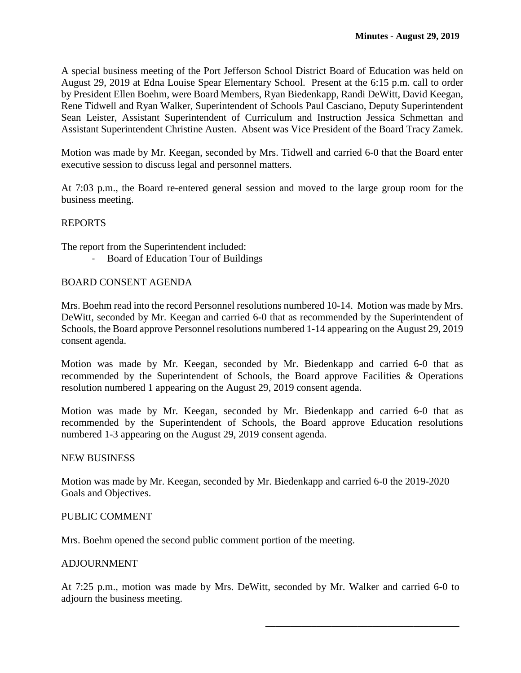A special business meeting of the Port Jefferson School District Board of Education was held on August 29, 2019 at Edna Louise Spear Elementary School. Present at the 6:15 p.m. call to order by President Ellen Boehm, were Board Members, Ryan Biedenkapp, Randi DeWitt, David Keegan, Rene Tidwell and Ryan Walker, Superintendent of Schools Paul Casciano, Deputy Superintendent Sean Leister, Assistant Superintendent of Curriculum and Instruction Jessica Schmettan and Assistant Superintendent Christine Austen. Absent was Vice President of the Board Tracy Zamek.

Motion was made by Mr. Keegan, seconded by Mrs. Tidwell and carried 6-0 that the Board enter executive session to discuss legal and personnel matters.

At 7:03 p.m., the Board re-entered general session and moved to the large group room for the business meeting.

## REPORTS

The report from the Superintendent included:

- Board of Education Tour of Buildings

# BOARD CONSENT AGENDA

Mrs. Boehm read into the record Personnel resolutions numbered 10-14. Motion was made by Mrs. DeWitt, seconded by Mr. Keegan and carried 6-0 that as recommended by the Superintendent of Schools, the Board approve Personnel resolutions numbered 1-14 appearing on the August 29, 2019 consent agenda.

Motion was made by Mr. Keegan, seconded by Mr. Biedenkapp and carried 6-0 that as recommended by the Superintendent of Schools, the Board approve Facilities & Operations resolution numbered 1 appearing on the August 29, 2019 consent agenda.

Motion was made by Mr. Keegan, seconded by Mr. Biedenkapp and carried 6-0 that as recommended by the Superintendent of Schools, the Board approve Education resolutions numbered 1-3 appearing on the August 29, 2019 consent agenda.

#### NEW BUSINESS

Motion was made by Mr. Keegan, seconded by Mr. Biedenkapp and carried 6-0 the 2019-2020 Goals and Objectives.

#### PUBLIC COMMENT

Mrs. Boehm opened the second public comment portion of the meeting.

#### **ADJOURNMENT**

At 7:25 p.m., motion was made by Mrs. DeWitt, seconded by Mr. Walker and carried 6-0 to adjourn the business meeting.

**\_\_\_\_\_\_\_\_\_\_\_\_\_\_\_\_\_\_\_\_\_\_\_\_\_\_\_\_\_\_\_\_\_\_\_\_\_\_**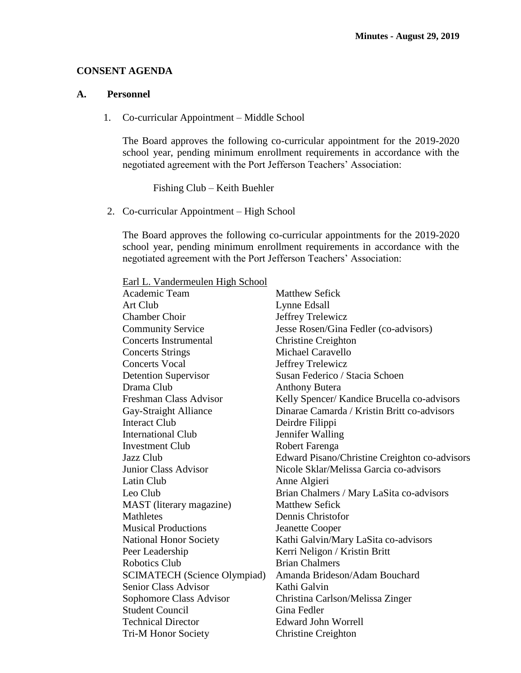## **CONSENT AGENDA**

## **A. Personnel**

1. Co-curricular Appointment – Middle School

The Board approves the following co-curricular appointment for the 2019-2020 school year, pending minimum enrollment requirements in accordance with the negotiated agreement with the Port Jefferson Teachers' Association:

Fishing Club – Keith Buehler

2. Co-curricular Appointment – High School

The Board approves the following co-curricular appointments for the 2019-2020 school year, pending minimum enrollment requirements in accordance with the negotiated agreement with the Port Jefferson Teachers' Association:

Earl L. Vandermeulen High School

| Academic Team                       | <b>Matthew Sefick</b>                         |
|-------------------------------------|-----------------------------------------------|
| Art Club                            | Lynne Edsall                                  |
| <b>Chamber Choir</b>                | Jeffrey Trelewicz                             |
| <b>Community Service</b>            | Jesse Rosen/Gina Fedler (co-advisors)         |
| <b>Concerts Instrumental</b>        | <b>Christine Creighton</b>                    |
| <b>Concerts Strings</b>             | Michael Caravello                             |
| <b>Concerts Vocal</b>               | Jeffrey Trelewicz                             |
| <b>Detention Supervisor</b>         | Susan Federico / Stacia Schoen                |
| Drama Club                          | <b>Anthony Butera</b>                         |
| Freshman Class Advisor              | Kelly Spencer/ Kandice Brucella co-advisors   |
| Gay-Straight Alliance               | Dinarae Camarda / Kristin Britt co-advisors   |
| <b>Interact Club</b>                | Deirdre Filippi                               |
| <b>International Club</b>           | Jennifer Walling                              |
| <b>Investment Club</b>              | Robert Farenga                                |
| Jazz Club                           | Edward Pisano/Christine Creighton co-advisors |
| <b>Junior Class Advisor</b>         | Nicole Sklar/Melissa Garcia co-advisors       |
| Latin Club                          | Anne Algieri                                  |
| Leo Club                            | Brian Chalmers / Mary LaSita co-advisors      |
| MAST (literary magazine)            | <b>Matthew Sefick</b>                         |
| <b>Mathletes</b>                    | Dennis Christofor                             |
| <b>Musical Productions</b>          | Jeanette Cooper                               |
| <b>National Honor Society</b>       | Kathi Galvin/Mary LaSita co-advisors          |
| Peer Leadership                     | Kerri Neligon / Kristin Britt                 |
| <b>Robotics Club</b>                | <b>Brian Chalmers</b>                         |
| <b>SCIMATECH</b> (Science Olympiad) | Amanda Brideson/Adam Bouchard                 |
| <b>Senior Class Advisor</b>         | Kathi Galvin                                  |
| Sophomore Class Advisor             | Christina Carlson/Melissa Zinger              |
| <b>Student Council</b>              | Gina Fedler                                   |
| <b>Technical Director</b>           | <b>Edward John Worrell</b>                    |
| Tri-M Honor Society                 | <b>Christine Creighton</b>                    |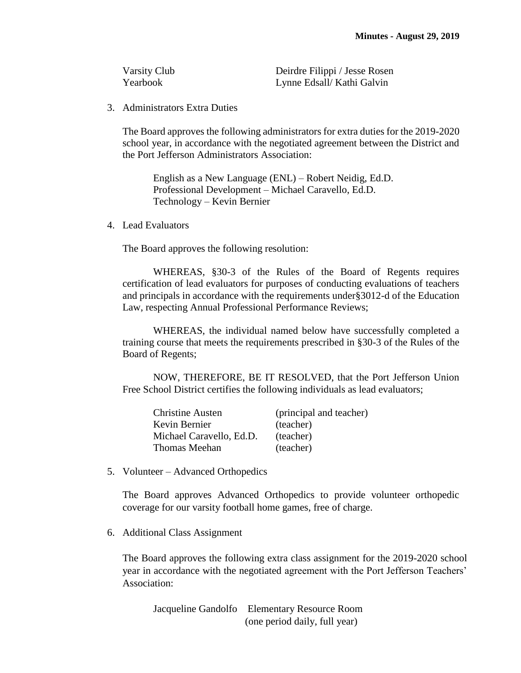| Varsity Club | Deirdre Filippi / Jesse Rosen |
|--------------|-------------------------------|
| Yearbook     | Lynne Edsall/ Kathi Galvin    |

3. Administrators Extra Duties

The Board approves the following administrators for extra duties for the 2019-2020 school year, in accordance with the negotiated agreement between the District and the Port Jefferson Administrators Association:

English as a New Language (ENL) – Robert Neidig, Ed.D. Professional Development – Michael Caravello, Ed.D. Technology – Kevin Bernier

4. Lead Evaluators

The Board approves the following resolution:

WHEREAS, §30-3 of the Rules of the Board of Regents requires certification of lead evaluators for purposes of conducting evaluations of teachers and principals in accordance with the requirements under§3012-d of the Education Law, respecting Annual Professional Performance Reviews;

WHEREAS, the individual named below have successfully completed a training course that meets the requirements prescribed in §30-3 of the Rules of the Board of Regents;

NOW, THEREFORE, BE IT RESOLVED, that the Port Jefferson Union Free School District certifies the following individuals as lead evaluators;

| <b>Christine Austen</b>  | (principal and teacher) |
|--------------------------|-------------------------|
| Kevin Bernier            | (teacher)               |
| Michael Caravello, Ed.D. | (teacher)               |
| <b>Thomas Meehan</b>     | (teacher)               |

5. Volunteer – Advanced Orthopedics

The Board approves Advanced Orthopedics to provide volunteer orthopedic coverage for our varsity football home games, free of charge.

6. Additional Class Assignment

The Board approves the following extra class assignment for the 2019-2020 school year in accordance with the negotiated agreement with the Port Jefferson Teachers' Association:

Jacqueline Gandolfo Elementary Resource Room (one period daily, full year)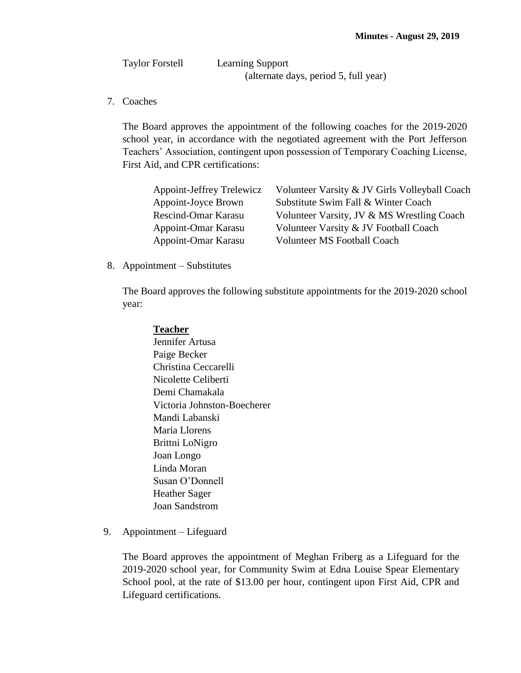| <b>Taylor Forstell</b> | <b>Learning Support</b>               |
|------------------------|---------------------------------------|
|                        | (alternate days, period 5, full year) |

7. Coaches

The Board approves the appointment of the following coaches for the 2019-2020 school year, in accordance with the negotiated agreement with the Port Jefferson Teachers' Association, contingent upon possession of Temporary Coaching License, First Aid, and CPR certifications:

| Appoint-Jeffrey Trelewicz | Volunteer Varsity & JV Girls Volleyball Coach |
|---------------------------|-----------------------------------------------|
| Appoint-Joyce Brown       | Substitute Swim Fall & Winter Coach           |
| Rescind-Omar Karasu       | Volunteer Varsity, JV & MS Wrestling Coach    |
| Appoint-Omar Karasu       | Volunteer Varsity & JV Football Coach         |
| Appoint-Omar Karasu       | <b>Volunteer MS Football Coach</b>            |

8. Appointment – Substitutes

The Board approves the following substitute appointments for the 2019-2020 school year:

## **Teacher**

- Jennifer Artusa Paige Becker Christina Ceccarelli Nicolette Celiberti Demi Chamakala Victoria Johnston-Boecherer Mandi Labanski Maria Llorens Brittni LoNigro Joan Longo Linda Moran Susan O'Donnell Heather Sager Joan Sandstrom
- 9. Appointment Lifeguard

The Board approves the appointment of Meghan Friberg as a Lifeguard for the 2019-2020 school year, for Community Swim at Edna Louise Spear Elementary School pool, at the rate of \$13.00 per hour, contingent upon First Aid, CPR and Lifeguard certifications.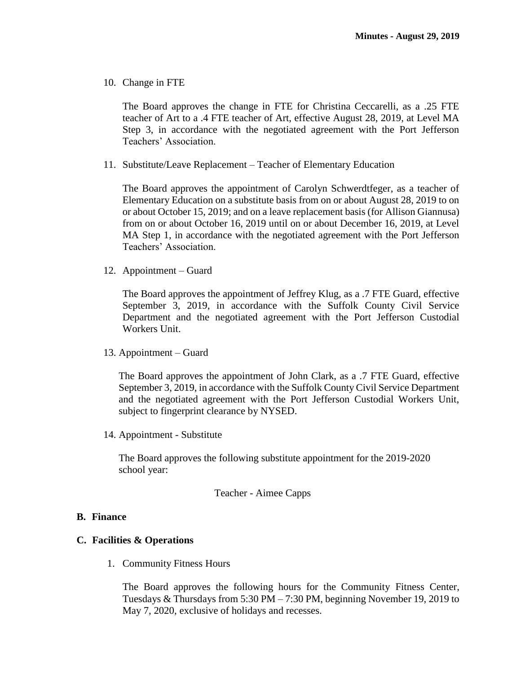10. Change in FTE

The Board approves the change in FTE for Christina Ceccarelli, as a .25 FTE teacher of Art to a .4 FTE teacher of Art, effective August 28, 2019, at Level MA Step 3, in accordance with the negotiated agreement with the Port Jefferson Teachers' Association.

11. Substitute/Leave Replacement – Teacher of Elementary Education

The Board approves the appointment of Carolyn Schwerdtfeger, as a teacher of Elementary Education on a substitute basis from on or about August 28, 2019 to on or about October 15, 2019; and on a leave replacement basis (for Allison Giannusa) from on or about October 16, 2019 until on or about December 16, 2019, at Level MA Step 1, in accordance with the negotiated agreement with the Port Jefferson Teachers' Association.

12. Appointment – Guard

The Board approves the appointment of Jeffrey Klug, as a .7 FTE Guard, effective September 3, 2019, in accordance with the Suffolk County Civil Service Department and the negotiated agreement with the Port Jefferson Custodial Workers Unit.

13. Appointment – Guard

The Board approves the appointment of John Clark, as a .7 FTE Guard, effective September 3, 2019, in accordance with the Suffolk County Civil Service Department and the negotiated agreement with the Port Jefferson Custodial Workers Unit, subject to fingerprint clearance by NYSED.

14. Appointment - Substitute

The Board approves the following substitute appointment for the 2019-2020 school year:

## Teacher - Aimee Capps

## **B. Finance**

#### **C. Facilities & Operations**

1. Community Fitness Hours

The Board approves the following hours for the Community Fitness Center, Tuesdays & Thursdays from 5:30 PM – 7:30 PM, beginning November 19, 2019 to May 7, 2020, exclusive of holidays and recesses.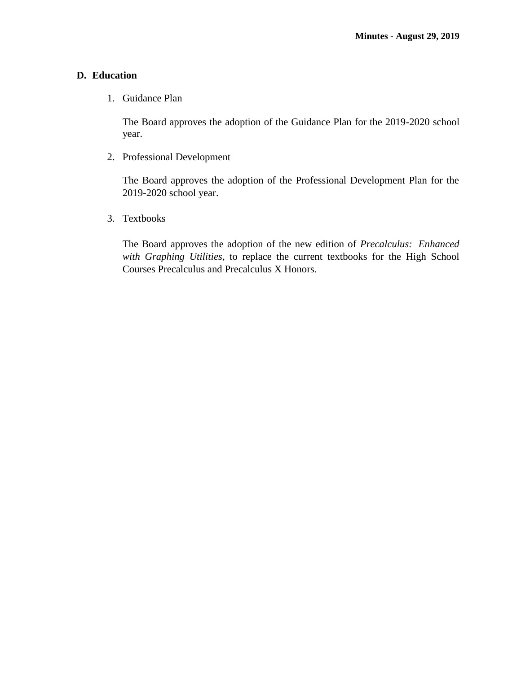# **D. Education**

1. Guidance Plan

The Board approves the adoption of the Guidance Plan for the 2019-2020 school year.

2. Professional Development

The Board approves the adoption of the Professional Development Plan for the 2019-2020 school year.

3. Textbooks

The Board approves the adoption of the new edition of *Precalculus: Enhanced with Graphing Utilities*, to replace the current textbooks for the High School Courses Precalculus and Precalculus X Honors.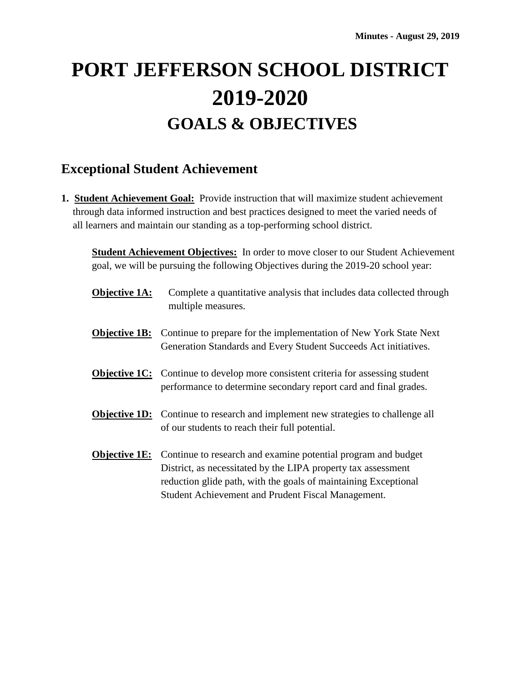# **PORT JEFFERSON SCHOOL DISTRICT 2019-2020 GOALS & OBJECTIVES**

# **Exceptional Student Achievement**

**1. Student Achievement Goal:** Provide instruction that will maximize student achievement through data informed instruction and best practices designed to meet the varied needs of all learners and maintain our standing as a top-performing school district.

**Student Achievement Objectives:** In order to move closer to our Student Achievement goal, we will be pursuing the following Objectives during the 2019-20 school year:

- **Objective 1A:** Complete a quantitative analysis that includes data collected through multiple measures.
- **Objective 1B:** Continue to prepare for the implementation of New York State Next Generation Standards and Every Student Succeeds Act initiatives.
- **Objective 1C:** Continue to develop more consistent criteria for assessing student performance to determine secondary report card and final grades.
- **Objective 1D:** Continue to research and implement new strategies to challenge all of our students to reach their full potential.
- **Objective 1E:** Continue to research and examine potential program and budget District, as necessitated by the LIPA property tax assessment reduction glide path, with the goals of maintaining Exceptional Student Achievement and Prudent Fiscal Management.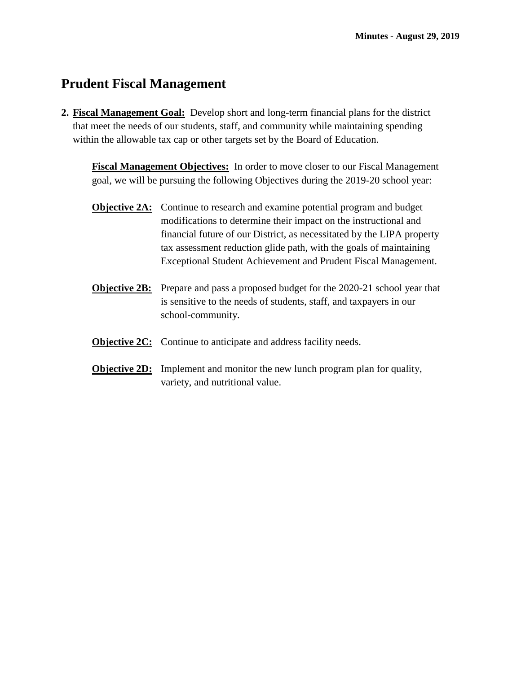# **Prudent Fiscal Management**

**2. Fiscal Management Goal:** Develop short and long-term financial plans for the district that meet the needs of our students, staff, and community while maintaining spending within the allowable tax cap or other targets set by the Board of Education.

**Fiscal Management Objectives:** In order to move closer to our Fiscal Management goal, we will be pursuing the following Objectives during the 2019-20 school year:

- **Objective 2A:** Continue to research and examine potential program and budget modifications to determine their impact on the instructional and financial future of our District, as necessitated by the LIPA property tax assessment reduction glide path, with the goals of maintaining Exceptional Student Achievement and Prudent Fiscal Management.
- **Objective 2B:** Prepare and pass a proposed budget for the 2020-21 school year that is sensitive to the needs of students, staff, and taxpayers in our school-community.
- **Objective 2C:** Continue to anticipate and address facility needs.
- **Objective 2D:** Implement and monitor the new lunch program plan for quality, variety, and nutritional value.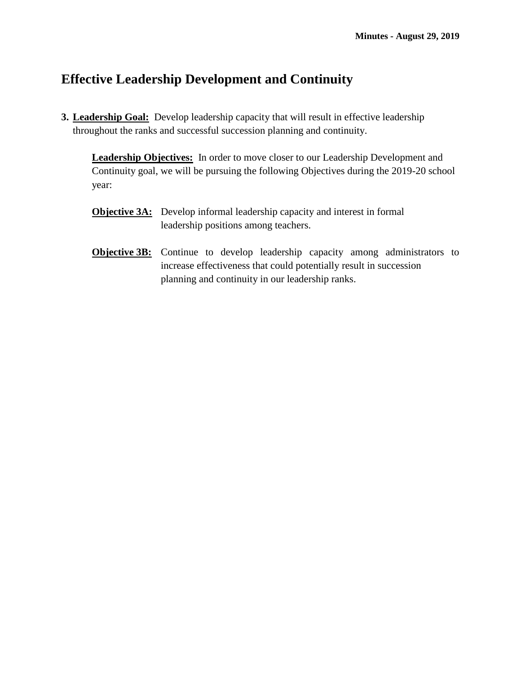# **Effective Leadership Development and Continuity**

**3. Leadership Goal:** Develop leadership capacity that will result in effective leadership throughout the ranks and successful succession planning and continuity.

**Leadership Objectives:** In order to move closer to our Leadership Development and Continuity goal, we will be pursuing the following Objectives during the 2019-20 school year:

- **Objective 3A:** Develop informal leadership capacity and interest in formal leadership positions among teachers.
- **Objective 3B:** Continue to develop leadership capacity among administrators to increase effectiveness that could potentially result in succession planning and continuity in our leadership ranks.